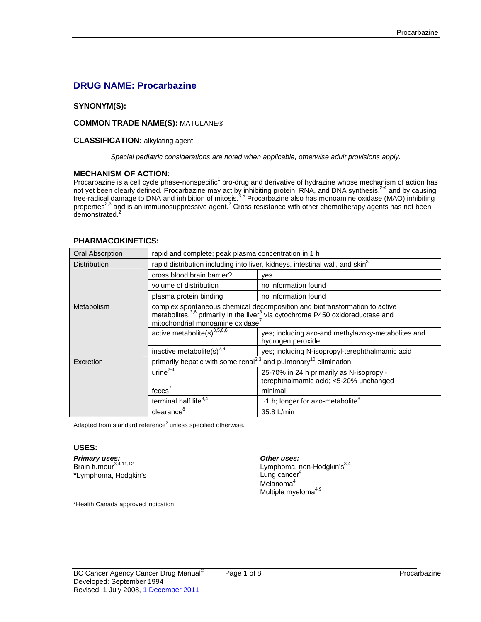# **DRUG NAME: Procarbazine**

# **SYNONYM(S):**

### **COMMON TRADE NAME(S):** MATULANE®

#### **CLASSIFICATION:** alkylating agent

*Special pediatric considerations are noted when applicable, otherwise adult provisions apply.* 

### **MECHANISM OF ACTION:**

Procarbazine is a cell cycle phase-nonspecific<sup>1</sup> pro-drug and derivative of hydrazine whose mechanism of action has not yet been clearly defined. Procarbazine may act by inhibiting protein, RNA, and DNA synthesis,<sup>2-4</sup> and by causing free-radical damage to DNA and inhibition of mitosis.<sup>3,5</sup> Procarbazine also has monoamine oxidase (MAO) inhibiting properties<sup>2,3</sup> and is an immunosuppressive agent.<sup>2</sup> Cross resistance with other chemotherapy agents has not been demonstrated.<sup>2</sup>

### **PHARMACOKINETICS:**

| <b>Oral Absorption</b> | rapid and complete; peak plasma concentration in 1 h                                                                                                                                                               |                                                                                    |
|------------------------|--------------------------------------------------------------------------------------------------------------------------------------------------------------------------------------------------------------------|------------------------------------------------------------------------------------|
| <b>Distribution</b>    | rapid distribution including into liver, kidneys, intestinal wall, and skin <sup>3</sup>                                                                                                                           |                                                                                    |
|                        | cross blood brain barrier?                                                                                                                                                                                         | yes                                                                                |
|                        | volume of distribution                                                                                                                                                                                             | no information found                                                               |
|                        | plasma protein binding                                                                                                                                                                                             | no information found                                                               |
| Metabolism             | complex spontaneous chemical decomposition and biotransformation to active<br>metabolites, $3.6$ primarily in the liver $3$ via cytochrome P450 oxidoreductase and<br>mitochondrial monoamine oxidase <sup>7</sup> |                                                                                    |
|                        | active metabolite(s) <sup>3,5,6,8</sup>                                                                                                                                                                            | yes; including azo-and methylazoxy-metabolites and<br>hydrogen peroxide            |
|                        | inactive metabolite(s) <sup>2,9</sup>                                                                                                                                                                              | yes; including N-isopropyl-terephthalmamic acid                                    |
| Excretion              | primarily hepatic with some renal <sup>2,3</sup> and pulmonary <sup>10</sup> elimination                                                                                                                           |                                                                                    |
|                        | $urine2-4$                                                                                                                                                                                                         | 25-70% in 24 h primarily as N-isopropyl-<br>terephthalmamic acid; <5-20% unchanged |
|                        | feces <sup>'</sup>                                                                                                                                                                                                 | minimal                                                                            |
|                        | terminal half life <sup>3,4</sup>                                                                                                                                                                                  | $~1$ h; longer for azo-metabolite <sup>8</sup>                                     |
|                        | clearance <sup>8</sup>                                                                                                                                                                                             | 35.8 L/min                                                                         |

Adapted from standard reference $^2$  unless specified otherwise.

#### **USES:**

**Primary uses: Other uses: Other uses: Definition Definition Definition Definition Definition Definition Definition Definition Definition Definition Definition Definition Definition Definiti** \*Lymphoma, Hodgkin's

Lymphoma, non-Hodgkin's $3,4$ <br>Lung cancer<sup>4</sup> Melanoma<sup>4</sup> Multiple myeloma $4,9$ 

\*Health Canada approved indication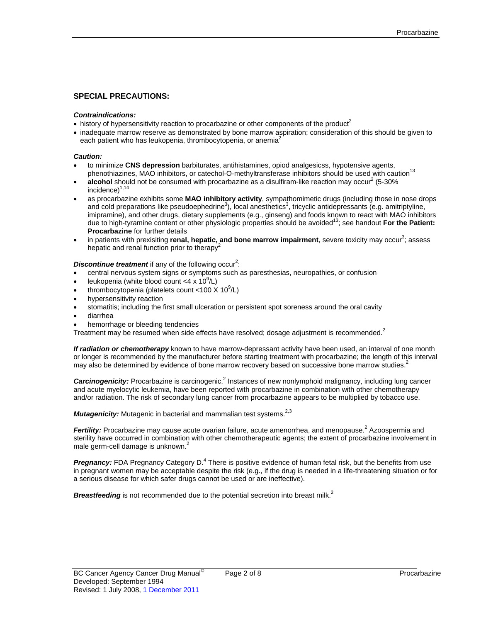### **SPECIAL PRECAUTIONS:**

#### *Contraindications:*

- history of hypersensitivity reaction to procarbazine or other components of the product<sup>2</sup>
- inadequate marrow reserve as demonstrated by bone marrow aspiration; consideration of this should be given to each patient who has leukopenia, thrombocytopenia, or anemia<sup>2</sup>

#### *Caution:*

- to minimize **CNS depression** barbiturates, antihistamines, opiod analgesicss, hypotensive agents, phenothiazines, MAO inhibitors, or catechol-O-methyltransferase inhibitors should be used with caution<sup>13</sup>
- $\bullet$  **alcohol** should not be consumed with procarbazine as a disulfiram-like reaction may occur<sup>2</sup> (5-30%)  $incidence)^{1,14}$
- as procarbazine exhibits some **MAO inhibitory activity**, sympathomimetic drugs (including those in nose drops and cold preparations like pseudoephedrine<sup>3</sup>), local anesthetics<sup>3</sup>, tricyclic antidepressants (e.g. amitriptyline, imipramine), and other drugs, dietary supplements (e.g., ginseng) and foods known to react with MAO inhibitors due to high-tyramine content or other physiologic properties should be avoided13; see handout **For the Patient: Procarbazine** for further details
- in patients with prexisiting **renal, hepatic, and bone marrow impairment**, severe toxicity may occur<sup>3</sup>; assess hepatic and renal function prior to therapy<sup>2</sup>

#### **Discontinue treatment** if any of the following occur<sup>2</sup>:

- central nervous system signs or symptoms such as paresthesias, neuropathies, or confusion
- leukopenia (white blood count <4 x  $10^9$ /L)
- thrombocytopenia (platelets count <100 X 10 $^9$ /L)
- hypersensitivity reaction
- stomatitis; including the first small ulceration or persistent spot soreness around the oral cavity
- diarrhea
- hemorrhage or bleeding tendencies

Treatment may be resumed when side effects have resolved; dosage adjustment is recommended.<sup>2</sup>

*If radiation or chemotherapy* known to have marrow-depressant activity have been used, an interval of one month or longer is recommended by the manufacturer before starting treatment with procarbazine; the length of this interval may also be determined by evidence of bone marrow recovery based on successive bone marrow studies.<sup>2</sup>

Carcinogenicity: Procarbazine is carcinogenic.<sup>2</sup> Instances of new nonlymphoid malignancy, including lung cancer and acute myelocytic leukemia, have been reported with procarbazine in combination with other chemotherapy and/or radiation. The risk of secondary lung cancer from procarbazine appears to be multiplied by tobacco use.

*Mutagenicity:* Mutagenic in bacterial and mammalian test systems.<sup>2,3</sup>

Fertility: Procarbazine may cause acute ovarian failure, acute amenorrhea, and menopause.<sup>2</sup> Azoospermia and sterility have occurred in combination with other chemotherapeutic agents; the extent of procarbazine involvement in male germ-cell damage is unknown.<sup>2</sup>

Pregnancy: FDA Pregnancy Category D.<sup>4</sup> There is positive evidence of human fetal risk, but the benefits from use in pregnant women may be acceptable despite the risk (e.g., if the drug is needed in a life-threatening situation or for a serious disease for which safer drugs cannot be used or are ineffective).

**Breastfeeding** is not recommended due to the potential secretion into breast milk.<sup>2</sup>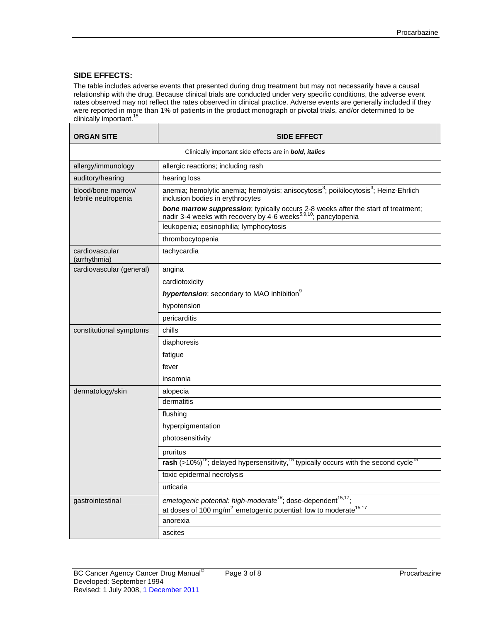# **SIDE EFFECTS:**

The table includes adverse events that presented during drug treatment but may not necessarily have a causal relationship with the drug. Because clinical trials are conducted under very specific conditions, the adverse event rates observed may not reflect the rates observed in clinical practice. Adverse events are generally included if they were reported in more than 1% of patients in the product monograph or pivotal trials, and/or determined to be clinically important.<sup>15</sup>

| <b>ORGAN SITE</b>                         | <b>SIDE EFFECT</b>                                                                                                                                               |  |  |
|-------------------------------------------|------------------------------------------------------------------------------------------------------------------------------------------------------------------|--|--|
|                                           | Clinically important side effects are in <b>bold, italics</b>                                                                                                    |  |  |
| allergy/immunology                        | allergic reactions; including rash                                                                                                                               |  |  |
| auditory/hearing                          | hearing loss                                                                                                                                                     |  |  |
| blood/bone marrow/<br>febrile neutropenia | anemia; hemolytic anemia; hemolysis; anisocytosis <sup>3</sup> ; poikilocytosis <sup>3</sup> ; Heinz-Ehrlich<br>inclusion bodies in erythrocytes                 |  |  |
|                                           | bone marrow suppression; typically occurs 2-8 weeks after the start of treatment;<br>nadir 3-4 weeks with recovery by 4-6 weeks <sup>5,9,10</sup> ; pancytopenia |  |  |
|                                           | leukopenia; eosinophilia; lymphocytosis                                                                                                                          |  |  |
|                                           | thrombocytopenia                                                                                                                                                 |  |  |
| cardiovascular<br>(arrhythmia)            | tachycardia                                                                                                                                                      |  |  |
| cardiovascular (general)                  | angina                                                                                                                                                           |  |  |
|                                           | cardiotoxicity                                                                                                                                                   |  |  |
|                                           | hypertension; secondary to MAO inhibition <sup>9</sup>                                                                                                           |  |  |
|                                           | hypotension                                                                                                                                                      |  |  |
|                                           | pericarditis                                                                                                                                                     |  |  |
| constitutional symptoms                   | chills                                                                                                                                                           |  |  |
|                                           | diaphoresis                                                                                                                                                      |  |  |
|                                           | fatigue                                                                                                                                                          |  |  |
|                                           | fever                                                                                                                                                            |  |  |
|                                           | insomnia                                                                                                                                                         |  |  |
| dermatology/skin                          | alopecia                                                                                                                                                         |  |  |
|                                           | dermatitis                                                                                                                                                       |  |  |
|                                           | flushing                                                                                                                                                         |  |  |
|                                           | hyperpigmentation                                                                                                                                                |  |  |
|                                           | photosensitivity                                                                                                                                                 |  |  |
|                                           | pruritus                                                                                                                                                         |  |  |
|                                           | rash (>10%) <sup>15</sup> ; delayed hypersensitivity, <sup>15</sup> typically occurs with the second cycle <sup>15</sup>                                         |  |  |
|                                           | toxic epidermal necrolysis                                                                                                                                       |  |  |
|                                           | urticaria                                                                                                                                                        |  |  |
| gastrointestinal                          | emetogenic potential: high-moderate <sup>16</sup> ; dose-dependent <sup>15,17</sup> ;                                                                            |  |  |
|                                           | at doses of 100 mg/m <sup>2</sup> emetogenic potential: low to moderate <sup>15,17</sup>                                                                         |  |  |
|                                           | anorexia                                                                                                                                                         |  |  |
|                                           | ascites                                                                                                                                                          |  |  |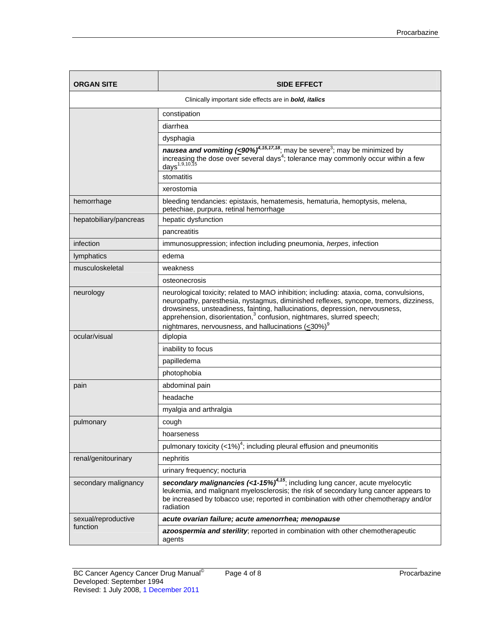| <b>ORGAN SITE</b>                                                     | <b>SIDE EFFECT</b>                                                                                                                                                                                                                                                                                                                                    |  |
|-----------------------------------------------------------------------|-------------------------------------------------------------------------------------------------------------------------------------------------------------------------------------------------------------------------------------------------------------------------------------------------------------------------------------------------------|--|
| Clinically important side effects are in <b>bold</b> , <i>italics</i> |                                                                                                                                                                                                                                                                                                                                                       |  |
|                                                                       | constipation                                                                                                                                                                                                                                                                                                                                          |  |
|                                                                       | diarrhea                                                                                                                                                                                                                                                                                                                                              |  |
|                                                                       | dysphagia                                                                                                                                                                                                                                                                                                                                             |  |
|                                                                       | <b>nausea and vomiting (&lt; 90%)<sup>4,15,17,18</sup></b> , may be severe <sup>3</sup> ; may be minimized by<br>increasing the dose over several days <sup>4</sup> ; tolerance may commonly occur within a few<br>days <sup>1,9,10,15</sup>                                                                                                          |  |
|                                                                       | stomatitis                                                                                                                                                                                                                                                                                                                                            |  |
|                                                                       | xerostomia                                                                                                                                                                                                                                                                                                                                            |  |
| hemorrhage                                                            | bleeding tendancies: epistaxis, hematemesis, hematuria, hemoptysis, melena,<br>petechiae, purpura, retinal hemorrhage                                                                                                                                                                                                                                 |  |
| hepatobiliary/pancreas                                                | hepatic dysfunction                                                                                                                                                                                                                                                                                                                                   |  |
|                                                                       | pancreatitis                                                                                                                                                                                                                                                                                                                                          |  |
| infection                                                             | immunosuppression; infection including pneumonia, herpes, infection                                                                                                                                                                                                                                                                                   |  |
| lymphatics                                                            | edema                                                                                                                                                                                                                                                                                                                                                 |  |
| musculoskeletal                                                       | weakness                                                                                                                                                                                                                                                                                                                                              |  |
|                                                                       | osteonecrosis                                                                                                                                                                                                                                                                                                                                         |  |
| neurology                                                             | neurological toxicity; related to MAO inhibition; including: ataxia, coma, convulsions,<br>neuropathy, paresthesia, nystagmus, diminished reflexes, syncope, tremors, dizziness,<br>drowsiness, unsteadiness, fainting, hallucinations, depression, nervousness,<br>apprehension, disorientation, <sup>3</sup> confusion, nightmares, slurred speech; |  |
|                                                                       | nightmares, nervousness, and hallucinations (<30%) <sup>9</sup>                                                                                                                                                                                                                                                                                       |  |
| ocular/visual                                                         | diplopia                                                                                                                                                                                                                                                                                                                                              |  |
|                                                                       | inability to focus                                                                                                                                                                                                                                                                                                                                    |  |
|                                                                       | papilledema                                                                                                                                                                                                                                                                                                                                           |  |
|                                                                       | photophobia                                                                                                                                                                                                                                                                                                                                           |  |
| pain                                                                  | abdominal pain                                                                                                                                                                                                                                                                                                                                        |  |
|                                                                       | headache                                                                                                                                                                                                                                                                                                                                              |  |
|                                                                       | myalgia and arthralgia                                                                                                                                                                                                                                                                                                                                |  |
| pulmonary                                                             | cough                                                                                                                                                                                                                                                                                                                                                 |  |
|                                                                       | hoarseness                                                                                                                                                                                                                                                                                                                                            |  |
|                                                                       | pulmonary toxicity $(<1\%)^4$ ; including pleural effusion and pneumonitis                                                                                                                                                                                                                                                                            |  |
| renal/genitourinary                                                   | nephritis                                                                                                                                                                                                                                                                                                                                             |  |
|                                                                       | urinary frequency; nocturia                                                                                                                                                                                                                                                                                                                           |  |
| secondary malignancy                                                  | secondary malignancies $\left($ <1-15%) <sup>4,15</sup> ; including lung cancer, acute myelocytic<br>leukemia, and malignant myelosclerosis; the risk of secondary lung cancer appears to<br>be increased by tobacco use; reported in combination with other chemotherapy and/or<br>radiation                                                         |  |
| sexual/reproductive                                                   | acute ovarian failure; acute amenorrhea; menopause                                                                                                                                                                                                                                                                                                    |  |
| function                                                              | azoospermia and sterility; reported in combination with other chemotherapeutic<br>agents                                                                                                                                                                                                                                                              |  |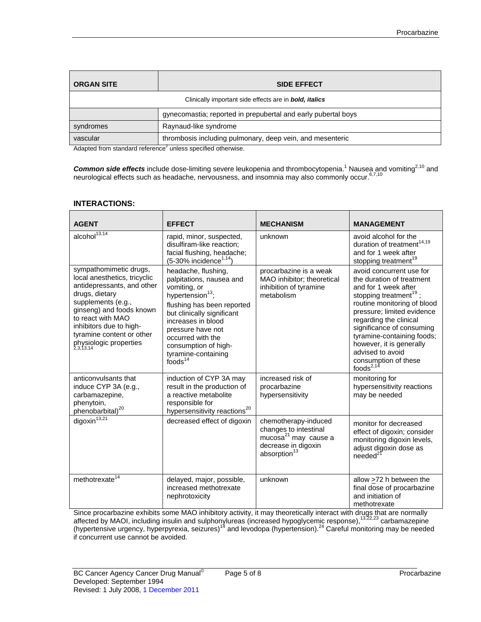| <b>ORGAN SITE</b>                                             | <b>SIDE EFFECT</b>                                            |  |
|---------------------------------------------------------------|---------------------------------------------------------------|--|
| Clinically important side effects are in <b>bold, italics</b> |                                                               |  |
|                                                               | gynecomastia; reported in prepubertal and early pubertal boys |  |
| syndromes                                                     | Raynaud-like syndrome                                         |  |
| vascular                                                      | thrombosis including pulmonary, deep vein, and mesenteric     |  |

Adapted from standard reference<sup>2</sup> unless specified otherwise.

Common side effects include dose-limiting severe leukopenia and thrombocytopenia.<sup>1</sup> Nausea and vomiting<sup>2,10</sup> and neurological effects such as headache, nervousness, and insomnia may also commonly occur. 6,7,10

## **INTERACTIONS:**

| <b>AGENT</b>                                                                                                                                                                                                                                                                 | <b>EFFECT</b>                                                                                                                                                                                                                                                                                     | <b>MECHANISM</b>                                                                                                                     | <b>MANAGEMENT</b>                                                                                                                                                                                                                                                                                                                                                |
|------------------------------------------------------------------------------------------------------------------------------------------------------------------------------------------------------------------------------------------------------------------------------|---------------------------------------------------------------------------------------------------------------------------------------------------------------------------------------------------------------------------------------------------------------------------------------------------|--------------------------------------------------------------------------------------------------------------------------------------|------------------------------------------------------------------------------------------------------------------------------------------------------------------------------------------------------------------------------------------------------------------------------------------------------------------------------------------------------------------|
| $alcohol^{13,14}$                                                                                                                                                                                                                                                            | rapid, minor, suspected,<br>disulfiram-like reaction;<br>facial flushing, headache;<br>$(5-30\%$ incidence <sup>1,14</sup> )                                                                                                                                                                      | unknown                                                                                                                              | avoid alcohol for the<br>duration of treatment $14,19$<br>and for 1 week after<br>stopping treatment <sup>19</sup>                                                                                                                                                                                                                                               |
| sympathomimetic drugs,<br>local anesthetics, tricyclic<br>antidepressants, and other<br>drugs, dietary<br>supplements (e.g.,<br>ginseng) and foods known<br>to react with MAO<br>inhibitors due to high-<br>tyramine content or other<br>physiologic properties<br>2,3,13,14 | headache, flushing,<br>palpitations, nausea and<br>vomiting, or<br>hypertension <sup>13</sup> ;<br>flushing has been reported<br>but clinically significant<br>increases in blood<br>pressure have not<br>occurred with the<br>consumption of high-<br>tyramine-containing<br>foods <sup>14</sup> | procarbazine is a weak<br>MAO inhibitor; theoretical<br>inhibition of tyramine<br>metabolism                                         | avoid concurrent use for<br>the duration of treatment<br>and for 1 week after<br>stopping treatment <sup>19</sup> ;<br>routine monitoring of blood<br>pressure; limited evidence<br>regarding the clinical<br>significance of consuming<br>tyramine-containing foods;<br>however, it is generally<br>advised to avoid<br>consumption of these<br>foods $^{2,14}$ |
| anticonvulsants that<br>induce CYP 3A (e.g.,<br>carbamazepine,<br>phenytoin,<br>phenobarbital) <sup>20</sup>                                                                                                                                                                 | induction of CYP 3A may<br>result in the production of<br>a reactive metabolite<br>responsible for<br>hypersensitivity reactions <sup>20</sup>                                                                                                                                                    | increased risk of<br>procarbazine<br>hypersensitivity                                                                                | monitoring for<br>hypersensitivity reactions<br>may be needed                                                                                                                                                                                                                                                                                                    |
| digoxin $13,21$                                                                                                                                                                                                                                                              | decreased effect of digoxin                                                                                                                                                                                                                                                                       | chemotherapy-induced<br>changes to intestinal<br>mucosa <sup>21</sup> may cause a<br>decrease in digoxin<br>absorption <sup>13</sup> | monitor for decreased<br>effect of digoxin; consider<br>monitoring digoxin levels,<br>adjust digoxin dose as<br>$needed^2$                                                                                                                                                                                                                                       |
| methotrexate <sup>14</sup>                                                                                                                                                                                                                                                   | delayed, major, possible,<br>increased methotrexate<br>nephrotoxicity                                                                                                                                                                                                                             | unknown                                                                                                                              | allow $\geq$ 72 h between the<br>final dose of procarbazine<br>and initiation of<br>methotrexate                                                                                                                                                                                                                                                                 |

Since procarbazine exhibits some MAO inhibitory activity, it may theoretically interact with drugs that are normally affected by MAOI, including insulin and sulphonylureas (increased hypoglycemic response),<sup>13,22,23</sup> carbamazepine (hypertensive urgency, hyperpyrexia, seizures)<sup>14</sup> and levodopa (hypertension).<sup>24</sup> Careful monitoring may be needed if concurrent use cannot be avoided.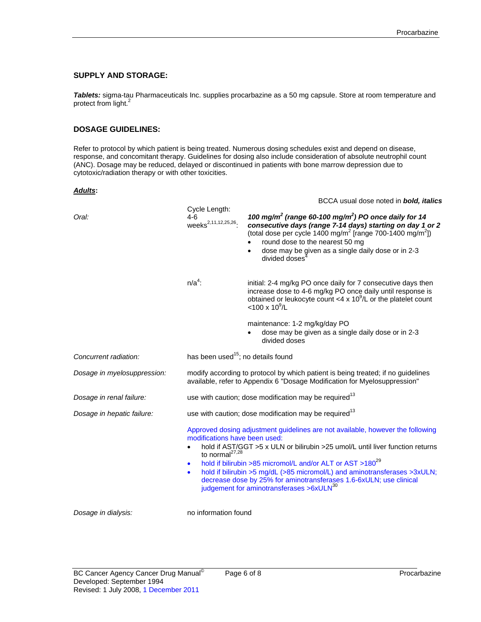# **SUPPLY AND STORAGE:**

*Tablets:* sigma-tau Pharmaceuticals Inc. supplies procarbazine as a 50 mg capsule. Store at room temperature and protect from light.<sup>2</sup>

# **DOSAGE GUIDELINES:**

Refer to protocol by which patient is being treated. Numerous dosing schedules exist and depend on disease, response, and concomitant therapy. Guidelines for dosing also include consideration of absolute neutrophil count (ANC). Dosage may be reduced, delayed or discontinued in patients with bone marrow depression due to cytotoxic/radiation therapy or with other toxicities.

#### *Adults***:**

|                             | Cycle Length:<br>4-6<br>weeks <sup>2,11,12,25,26</sup> .                                                                                                      | BCCA usual dose noted in bold, italics                                                                                                                                                                                                                                                                                                                                                                                                              |
|-----------------------------|---------------------------------------------------------------------------------------------------------------------------------------------------------------|-----------------------------------------------------------------------------------------------------------------------------------------------------------------------------------------------------------------------------------------------------------------------------------------------------------------------------------------------------------------------------------------------------------------------------------------------------|
| Oral:                       |                                                                                                                                                               | 100 mg/m <sup>2</sup> (range 60-100 mg/m <sup>2</sup> ) PO once daily for 14<br>consecutive days (range 7-14 days) starting on day 1 or 2<br>(total dose per cycle 1400 mg/m <sup>2</sup> [range 700-1400 mg/m <sup>2</sup> ])<br>round dose to the nearest 50 mg<br>dose may be given as a single daily dose or in 2-3<br>divided doses                                                                                                            |
|                             | $n/a4$ :                                                                                                                                                      | initial: 2-4 mg/kg PO once daily for 7 consecutive days then<br>increase dose to 4-6 mg/kg PO once daily until response is<br>obtained or leukocyte count <4 x $10^9$ /L or the platelet count<br>$<$ 100 x 10 <sup>9</sup> /L                                                                                                                                                                                                                      |
|                             |                                                                                                                                                               | maintenance: 1-2 mg/kg/day PO<br>dose may be given as a single daily dose or in 2-3<br>divided doses                                                                                                                                                                                                                                                                                                                                                |
| Concurrent radiation:       | has been used <sup>15</sup> ; no details found                                                                                                                |                                                                                                                                                                                                                                                                                                                                                                                                                                                     |
| Dosage in myelosuppression: | modify according to protocol by which patient is being treated; if no guidelines<br>available, refer to Appendix 6 "Dosage Modification for Myelosuppression" |                                                                                                                                                                                                                                                                                                                                                                                                                                                     |
| Dosage in renal failure:    |                                                                                                                                                               | use with caution; dose modification may be required <sup>13</sup>                                                                                                                                                                                                                                                                                                                                                                                   |
| Dosage in hepatic failure:  |                                                                                                                                                               | use with caution; dose modification may be required <sup>13</sup>                                                                                                                                                                                                                                                                                                                                                                                   |
|                             | modifications have been used:<br>to normal <sup>27,28</sup><br>$\bullet$<br>$\bullet$                                                                         | Approved dosing adjustment guidelines are not available, however the following<br>hold if AST/GGT >5 x ULN or bilirubin >25 umol/L until liver function returns<br>hold if bilirubin >85 micromol/L and/or ALT or AST >180 <sup>29</sup><br>hold if bilirubin >5 mg/dL (>85 micromol/L) and aminotransferases >3xULN;<br>decrease dose by 25% for aminotransferases 1.6-6xULN; use clinical<br>judgement for aminotransferases >6xULN <sup>30</sup> |
| Dosage in dialysis:         | no information found                                                                                                                                          |                                                                                                                                                                                                                                                                                                                                                                                                                                                     |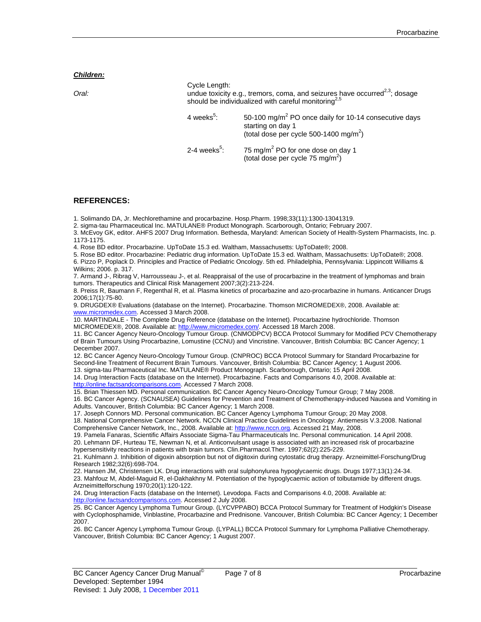*Children:*

| Oral: | Cycle Length:              | undue toxicity e.g., tremors, coma, and seizures have occurred <sup>2,3</sup> ; dosage<br>should be individualized with careful monitoring <sup>2,5</sup> |
|-------|----------------------------|-----------------------------------------------------------------------------------------------------------------------------------------------------------|
|       | 4 weeks <sup>5</sup> :     | 50-100 mg/m <sup>2</sup> PO once daily for 10-14 consecutive days<br>starting on day 1<br>(total dose per cycle 500-1400 mg/m <sup>2</sup> )              |
|       | $2-4$ weeks <sup>5</sup> : | 75 mg/m <sup>2</sup> PO for one dose on day 1<br>(total dose per cycle 75 mg/m <sup>2</sup> )                                                             |

### **REFERENCES:**

1. Solimando DA, Jr. Mechlorethamine and procarbazine. Hosp.Pharm. 1998;33(11):1300-13041319.

2. sigma-tau Pharmaceutical Inc. MATULANE® Product Monograph. Scarborough, Ontario; February 2007.

3. McEvoy GK, editor. AHFS 2007 Drug Information. Bethesda, Maryland: American Society of Health-System Pharmacists, Inc. p. 1173-1175.

4. Rose BD editor. Procarbazine. UpToDate 15.3 ed. Waltham, Massachusetts: UpToDate®; 2008.

5. Rose BD editor. Procarbazine: Pediatric drug information. UpToDate 15.3 ed. Waltham, Massachusetts: UpToDate®; 2008. 6. Pizzo P, Poplack D. Principles and Practice of Pediatric Oncology. 5th ed. Philadelphia, Pennsylvania: Lippincott Williams & Wilkins; 2006. p. 317.

7. Armand J-, Ribrag V, Harrousseau J-, et al. Reappraisal of the use of procarbazine in the treatment of lymphomas and brain tumors. Therapeutics and Clinical Risk Management 2007;3(2):213-224.

8. Preiss R, Baumann F, Regenthal R, et al. Plasma kinetics of procarbazine and azo-procarbazine in humans. Anticancer Drugs 2006;17(1):75-80.

9. DRUGDEX® Evaluations (database on the Internet). Procarbazine. Thomson MICROMEDEX®, 2008. Available at: [www.micromedex.com](http://www.micromedex.com/). Accessed 3 March 2008.

10. MARTINDALE - The Complete Drug Reference (database on the Internet). Procarbazine hydrochloride. Thomson MICROMEDEX®, 2008. Available at: [http://www.micromedex.com/.](http://www.micromedex.com/) Accessed 18 March 2008.

11. BC Cancer Agency Neuro-Oncology Tumour Group. (CNMODPCV) BCCA Protocol Summary for Modified PCV Chemotherapy of Brain Tumours Using Procarbazine, Lomustine (CCNU) and Vincristine. Vancouver, British Columbia: BC Cancer Agency; 1 December 2007.

12. BC Cancer Agency Neuro-Oncology Tumour Group. (CNPROC) BCCA Protocol Summary for Standard Procarbazine for Second-line Treatment of Recurrent Brain Tumours. Vancouver, British Columbia: BC Cancer Agency; 1 August 2006. 13. sigma-tau Pharmaceutical Inc. MATULANE® Product Monograph. Scarborough, Ontario; 15 April 2008.

14. Drug Interaction Facts (database on the Internet). Procarbazine. Facts and Comparisons 4.0, 2008. Available at: [http://online.factsandcomparisons.com](http://online.factsandcomparisons.com/)</u>. Accessed 7 March 2008.

15. Brian Thiessen MD. Personal communication. BC Cancer Agency Neuro-Oncology Tumour Group; 7 May 2008.

16. BC Cancer Agency. (SCNAUSEA) Guidelines for Prevention and Treatment of Chemotherapy-induced Nausea and Vomiting in Adults. Vancouver, British Columbia: BC Cancer Agency; 1 March 2008.

17. Joseph Connors MD. Personal communication. BC Cancer Agency Lymphoma Tumour Group; 20 May 2008.

18. National Comprehensive Cancer Network. NCCN Clinical Practice Guidelines in Oncology: Antiemesis V.3.2008. National Comprehensive Cancer Network, Inc., 2008. Available at: [http://www.nccn.org](http://www.nccn.org/). Accessed 21 May, 2008.

19. Pamela Fanaras, Scientific Affairs Associate Sigma-Tau Pharmaceuticals Inc. Personal communication. 14 April 2008. 20. Lehmann DF, Hurteau TE, Newman N, et al. Anticonvulsant usage is associated with an increased risk of procarbazine hypersensitivity reactions in patients with brain tumors. Clin.Pharmacol.Ther. 1997;62(2):225-229.

21. Kuhlmann J. Inhibition of digoxin absorption but not of digitoxin during cytostatic drug therapy. Arzneimittel-Forschung/Drug Research 1982;32(6):698-704.

22. Hansen JM, Christensen LK. Drug interactions with oral sulphonylurea hypoglycaemic drugs. Drugs 1977;13(1):24-34.

23. Mahfouz M, Abdel-Maguid R, el-Dakhakhny M. Potentiation of the hypoglycaemic action of tolbutamide by different drugs. Arzneimittelforschung 1970;20(1):120-122.

24. Drug Interaction Facts (database on the Internet). Levodopa. Facts and Comparisons 4.0, 2008. Available at: [http://online.factsandcomparisons.com](http://online.factsandcomparisons.com/). Accessed 2 July 2008.

25. BC Cancer Agency Lymphoma Tumour Group. (LYCVPPABO) BCCA Protocol Summary for Treatment of Hodgkin's Disease with Cyclophosphamide, Vinblastine, Procarbazine and Prednisone. Vancouver, British Columbia: BC Cancer Agency; 1 December 2007.

26. BC Cancer Agency Lymphoma Tumour Group. (LYPALL) BCCA Protocol Summary for Lymphoma Palliative Chemotherapy. Vancouver, British Columbia: BC Cancer Agency; 1 August 2007.